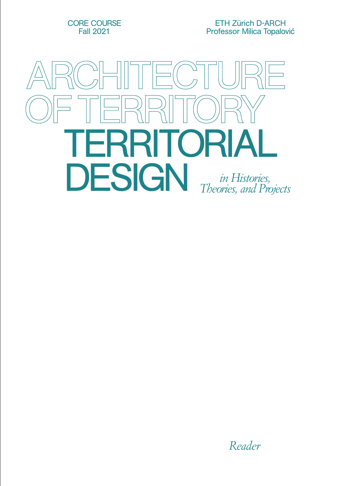CORE COURSE Fall 2021

ETH Zürich D-ARCH Professor Milica Topalović



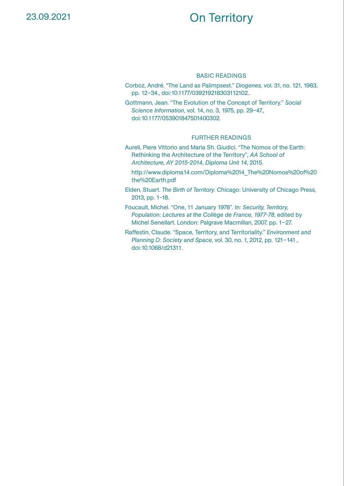# On Territory

### BASIC READINGS

Corboz, André. "The Land as Palimpsest." *Diogenes*, vol. 31, no. 121, 1983, pp. 12–34., doi:10.1177/039219218303112102..

Gottmann, Jean. "The Evolution of the Concept of Territory." *Social Science Information*, vol. 14, no. 3, 1975, pp. 29–47., doi:10.1177/053901847501400302.

- Aureli, Piere Vittorio and Maria Sh. Giudici. "The Nomos of the Earth: Rethinking the Architecture of the Territory", *AA School of Architecture, AY 2015-2014, Diploma Unit 14*, 2015.
	- [http://www.diploma14.com/Diploma%2014\\_The%20Nomos%20of%20](http://www.diploma14.com/Diploma%2014_The%20Nomos%20of%20the%20Earth.pdf) [the%20Earth.pdf](http://www.diploma14.com/Diploma%2014_The%20Nomos%20of%20the%20Earth.pdf)
- Elden, Stuart. *The Birth of Territory*. Chicago: University of Chicago Press, 2013, pp. 1-18.
- Foucault, Michel. "One, 11 January 1978". In: *Security, Territory, Population: Lectures at the Collège de France, 1977-78*, edited by Michel Senellart. London: Palgrave Macmillan, 2007, pp. 1–27.
- Raffestin, Claude. "Space, Territory, and Territoriality." *Environment and Planning D: Society and Space*, vol. 30, no. 1, 2012, pp. 121–141., doi:10.1068/d21311.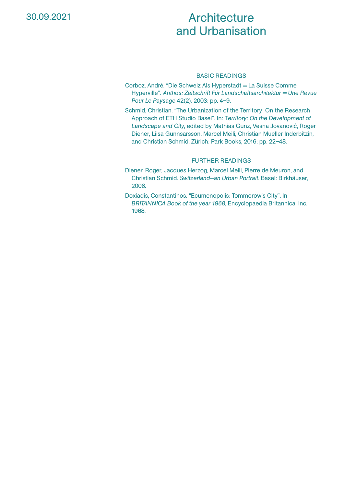# **Architecture** and Urbanisation

## BASIC READINGS

- Corboz, André. "Die Schweiz Als Hyperstadt = La Suisse Comme Hyperville". *Anthos: Zeitschrift Für Landschaftsarchitektur = Une Revue Pour Le Paysage* 42(2)*,* 2003: pp. 4–9.
- Schmid, Christian. "The Urbanization of the Territory: On the Research Approach of ETH Studio Basel". In: T*erritory: On the Development of Landscape and City*, edited by Mathias Gunz, Vesna Jovanović, Roger Diener, Liisa Gunnsarsson, Marcel Meili, Christian Mueller Inderbitzin, and Christian Schmid. Zürich: Park Books, 2016: pp. 22–48.

- Diener, Roger, Jacques Herzog, Marcel Meili, Pierre de Meuron, and Christian Schmid. *Switzerland—an Urban Portrait*. Basel: Birkhäuser, 2006.
- Doxiadis, Constantinos. "Ecumenopolis: Tommorow's City". In *BRITANNICA Book of the year 1968*, Encyclopaedia Britannica, Inc., 1968.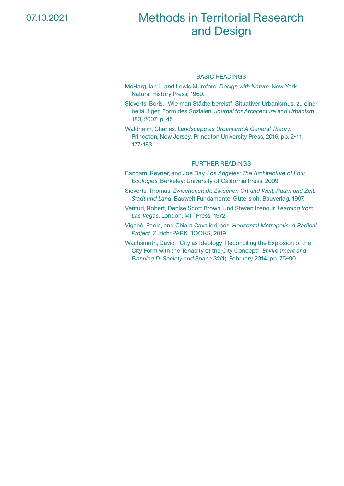# Methods in Territorial Research and Design

### BASIC READINGS

- McHarg, Ian L, and Lewis Mumford. *Design with Nature*. New York: Natural History Press, 1969.
- Sieverts, Boris. "Wie man Städte bereist". Situativer Urbanismus: zu einer beiläufigen Form des Sozialen, *Journal for Architecture and Urbanism* 183, 2007: p. 45.
- Waldheim, Charles. *Landscape as Urbanism: A General Theory*. Princeton, New Jersey: Princeton University Press, 2016, pp. 2-11, 177-183.

- Banham, Reyner, and Joe Day. *Los Angeles: The Architecture of Four Ecologies*. Berkeley: University of California Press, 2009.
- Sieverts, Thomas. *Zwischenstadt: Zwischen Ort und Welt, Raum und Zeit, Stadt und Land*. Bauwelt Fundamente. Gütersloh: Bauverlag, 1997.
- Venturi, Robert, Denise Scott Brown, und Steven Izenour. *Learning from Las Vegas*. London: MIT Press, 1972.
- Viganò, Paola, and Chiara Cavalieri, eds. *Horizontal Metropolis: A Radical Project*. Zurich: PARK BOOKS, 2019.
- Wachsmuth, David. "City as Ideology: Reconciling the Explosion of the City Form with the Tenacity of the City Concept". *Environment and Planning D: Society and Space* 32(1), February 2014: pp. 75–90.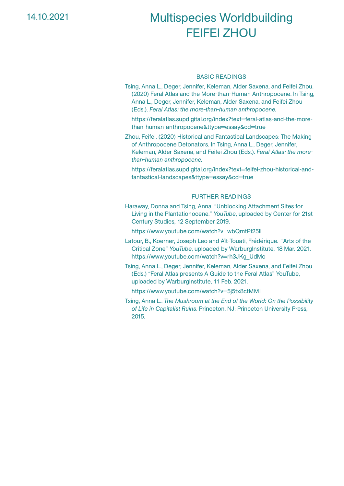# Multispecies Worldbuilding FEIFEI ZHOU

#### BASIC READINGS

Tsing, Anna L., Deger, Jennifer, Keleman, Alder Saxena, and Feifei Zhou. (2020) Feral Atlas and the More-than-Human Anthropocene. In Tsing, Anna L., Deger, Jennifer, Keleman, Alder Saxena, and Feifei Zhou (Eds.). *Feral Atlas: the more-than-human anthropocene.*

 [https://feralatlas.supdigital.org/index?text=feral-atlas-and-the-more](https://feralatlas.supdigital.org/index?text=feral-atlas-and-the-more-than-human-anthropocene&ttype=essay&cd=true)[than-human-anthropocene&ttype=essay&cd=true](https://feralatlas.supdigital.org/index?text=feral-atlas-and-the-more-than-human-anthropocene&ttype=essay&cd=true)

Zhou, Feifei. (2020) Historical and Fantastical Landscapes: The Making of Anthropocene Detonators. In Tsing, Anna L., Deger, Jennifer, Keleman, Alder Saxena, and Feifei Zhou (Eds.). *Feral Atlas: the morethan-human anthropocene.*

[https://feralatlas.supdigital.org/index?text=feifei-zhou-historical-and](https://feralatlas.supdigital.org/index?text=feifei-zhou-historical-and-fantastical-landscapes&ttype=essay&cd=true)[fantastical-landscapes&ttype=essay&cd=true](https://feralatlas.supdigital.org/index?text=feifei-zhou-historical-and-fantastical-landscapes&ttype=essay&cd=true)

### FURTHER READINGS

Haraway, Donna and Tsing, Anna. "Unblocking Attachment Sites for Living in the Plantationocene." *YouTube*, uploaded by Center for 21st Century Studies, 12 September 2019.

<https://www.youtube.com/watch?v=wbQmtPI25lI>

- Latour, B., Koerner, Joseph Leo and Aït-Touati, Frédérique. "Arts of the Critical Zone" *YouTube*, uploaded by WarburgInstitute, 18 Mar. 2021. [https://www.youtube.com/watch?v=rh3JKg\\_UdMo](https://www.youtube.com/watch?v=rh3JKg_UdMo)
- Tsing, Anna L., Deger, Jennifer, Keleman, Alder Saxena, and Feifei Zhou (Eds.) "Feral Atlas presents A Guide to the Feral Atlas" YouTube, uploaded by WarburgInstitute, 11 Feb. 2021.

<https://www.youtube.com/watch?v=5j5tx8ctMMI>

Tsing, Anna L.. *The Mushroom at the End of the World: On the Possibility of Life in Capitalist Ruins*. Princeton, NJ: Princeton University Press, 2015.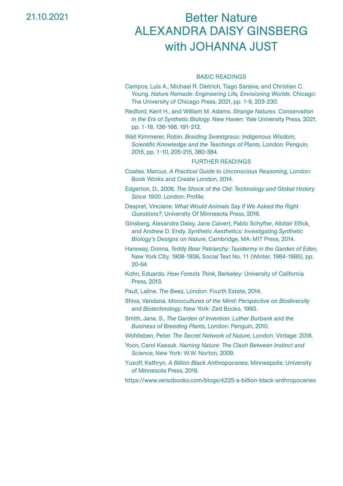21.10.2021

# Better Nature ALEXANDRA DAISY GINSBERG with JOHANNA JUST

#### BASIC READINGS

Campos, Luis A., Michael R. Dietrich, Tiago Saraiva, and Christian C. Young. *Nature Remade: Engineering Life, Envisioning Worlds*. Chicago: The University of Chicago Press, 2021, pp. 1-9, 203-230.

Redford, Kent H., and William M. Adams. *Strange Natures. Conservation in the Era of Synthetic Biology*. New Haven: Yale University Press, 2021, pp. 1-19, 136-166, 191-212.

Wall Kimmerer, Robin. *Braiding Sweetgrass: Indigenous Wisdom, Scientific Knowledge and the Teachings of Plants*, London: Penguin, 2015, pp. 1-10, 205-215, 380-384.

- Coates. Marcus. *A Practical Guide to Unconscious Reasoning*, London: Book Works and Create London, 2014.
- Edgerton, D., 2006. *The Shock of the Old: Technology and Global History Since 1900*. London: Profile.
- Despret, Vinciane. *What Would Animals Say If We Asked the Right Questions?*, University Of Minnesota Press, 2016.
- Ginsberg, Alexandra Daisy, Jane Calvert, Pablo Schyfter, Alistair Elfick, and Andrew D. Endy. *Synthetic Aesthetics: Investigating Synthetic Biology's Designs on Nature*, Cambridge, MA: MIT Press, 2014.
- Haraway, Donna, *Teddy Bear Patriarchy: Taxidermy in the Garden of Eden*, New York City, 1908-1936, Social Text No. 11 (Winter, 1984-1985), pp. 20-64
- Kohn, Eduardo. *How Forests Think*, Berkeley: University of California Press, 2013.
- Paull, Laline. *The Bees*, London: Fourth Estate, 2014.
- Shiva, Vandana. *Monocultures of the Mind: Perspective on Biodiversity and Biotechnology*, New York: Zed Books, 1993.
- Smith, Jane. S., *The Garden of Invention: Luther Burbank and the Business of Breeding Plants*, London: Penguin, 2010.
- Wohlleben, Peter. *The Secret Network of Nature*, London: Vintage: 2018.
- Yoon, Carol Kaesuk. *Naming Nature: The Clash Between Instinct and Science*, New York: W.W. Norton, 2009.
- Yusoff, Kathryn. *A Billion Black Anthropocenes*, Minneapolis: University of Minnesota Press, 2019.
- <https://www.versobooks.com/blogs/4225-a-billion-black-anthropocenes>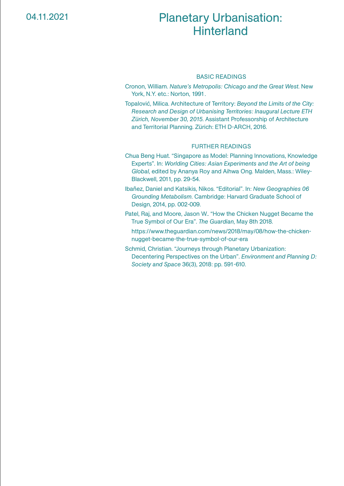# Planetary Urbanisation: **Hinterland**

#### BASIC READINGS

Cronon, William. *Nature's Metropolis: Chicago and the Great West*. New York, N.Y. etc.: Norton, 1991.

Topalović, Milica. Architecture of Territory: *Beyond the Limits of the City: Research and Design of Urbanising Territories: Inaugural Lecture ETH Zürich, November 30, 2015*. Assistant Professorship of Architecture and Territorial Planning. Zürich: ETH D-ARCH, 2016.

- Chua Beng Huat. "Singapore as Model: Planning Innovations, Knowledge Experts". In: *Worlding Cities: Asian Experiments and the Art of being Global*, edited by Ananya Roy and Aihwa Ong. Malden, Mass.: Wiley-Blackwell, 2011, pp. 29-54.
- Ibañez, Daniel and Katsikis, Nikos. "Editorial". In: *New Geographies 06 Grounding Metabolism*. Cambridge: Harvard Graduate School of Design, 2014, pp. 002-009.
- Patel, Raj, and Moore, Jason W.. "How the Chicken Nugget Became the True Symbol of Our Era". *The Guardian*, May 8th 2018.
	- [https://www.theguardian.com/news/2018/may/08/how-the-chicken](https://www.theguardian.com/news/2018/may/08/how-the-chicken-nugget-became-the-true-symbol-of-our-era)[nugget-became-the-true-symbol-of-our-era](https://www.theguardian.com/news/2018/may/08/how-the-chicken-nugget-became-the-true-symbol-of-our-era)
- Schmid, Christian. "Journeys through Planetary Urbanization: Decentering Perspectives on the Urban". *Environment and Planning D: Society and Space* 36(3), 2018: pp. 591-610.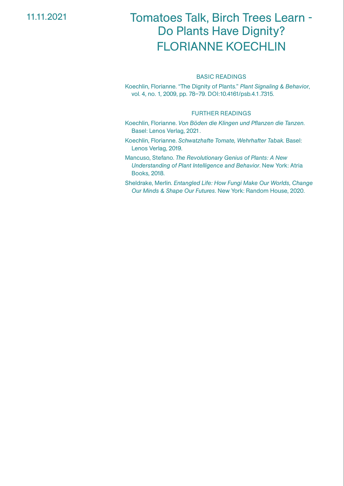11.11.2021

# Tomatoes Talk, Birch Trees Learn - Do Plants Have Dignity? FLORIANNE KOECHLIN

### BASIC READINGS

Koechlin, Florianne. "The Dignity of Plants." *Plant Signaling & Behavior*, vol. 4, no. 1, 2009, pp. 78–79. DOI:10.4161/psb.4.1.7315.

- Koechlin, Florianne. *Von Böden die Klingen und Pflanzen die Tanzen*. Basel: Lenos Verlag, 2021.
- Koechlin, Florianne. *Schwatzhafte Tomate, Wehrhafter Tabak*. Basel: Lenos Verlag, 2019.
- Mancuso, Stefano. *The Revolutionary Genius of Plants: A New Understanding of Plant Intelligence and Behavior*. New York: Atria Books, 2018.
- Sheldrake, Merlin. *Entangled Life: How Fungi Make Our Worlds, Change Our Minds & Shape Our Futures.* New York: Random House, 2020.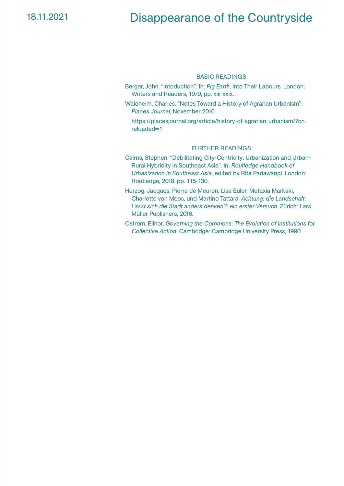# Disappearance of the Countryside

### BASIC READINGS

- Berger, John. "Intoduction". In: *Pig Earth*, Into Their Labours. London: Writers and Readers, 1979, pp. xiii-xxix.
- Waldheim, Charles. "Notes Toward a History of Agrarian Urbanism". *Places Journal*, November 2010.
	- [https://placesjournal.org/article/history-of-agrarian-urbanism/?cn](https://placesjournal.org/article/history-of-agrarian-urbanism/?cn-reloaded=1)[reloaded=1](https://placesjournal.org/article/history-of-agrarian-urbanism/?cn-reloaded=1)

- Cairns, Stephen. "Debilitating City-Centricity: Urbanization and Urban-Rural Hybridity in Southeast Asia". In: *Routledge Handbook of Urbanization in Southeast Asia,* edited by Rita Padawangi. London: Routledge, 2018, pp. 115-130.
- Herzog, Jacques, Pierre de Meuron, Lisa Euler, Metaxia Markaki, Charlotte von Moos, und Martino Tattara. *Achtung: die Landschaft: Lässt sich die Stadt anders denken?: ein erster Versuch*. Zürich: Lars Müller Publishers, 2016.
- Ostrom, Elinor. *Governing the Commons: The Evolution of Institutions for Collective Action.* Cambridge: Cambridge University Press, 1990.